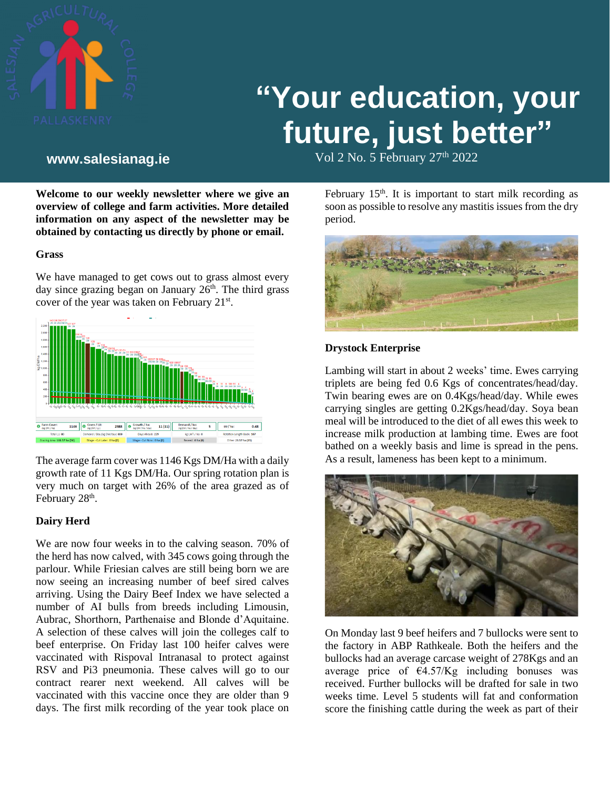

# **"Your education, your future, just better"**

Vol 2 No. 5 February 27th **www.salesianag.ie** 2022

**Welcome to our weekly newsletter where we give an overview of college and farm activities. More detailed information on any aspect of the newsletter may be obtained by contacting us directly by phone or email.**

# **Grass**

We have managed to get cows out to grass almost every day since grazing began on January  $26<sup>th</sup>$ . The third grass cover of the year was taken on February 21<sup>st</sup>.



The average farm cover was 1146 Kgs DM/Ha with a daily growth rate of 11 Kgs DM/Ha. Our spring rotation plan is very much on target with 26% of the area grazed as of February 28<sup>th</sup>.

# **Dairy Herd**

We are now four weeks in to the calving season. 70% of the herd has now calved, with 345 cows going through the parlour. While Friesian calves are still being born we are now seeing an increasing number of beef sired calves arriving. Using the Dairy Beef Index we have selected a number of AI bulls from breeds including Limousin, Aubrac, Shorthorn, Parthenaise and Blonde d'Aquitaine. A selection of these calves will join the colleges calf to beef enterprise. On Friday last 100 heifer calves were vaccinated with Rispoval Intranasal to protect against RSV and Pi3 pneumonia. These calves will go to our contract rearer next weekend. All calves will be vaccinated with this vaccine once they are older than 9 days. The first milk recording of the year took place on

February  $15<sup>th</sup>$ . It is important to start milk recording as soon as possible to resolve any mastitis issues from the dry period.



# **Drystock Enterprise**

Lambing will start in about 2 weeks' time. Ewes carrying triplets are being fed 0.6 Kgs of concentrates/head/day. Twin bearing ewes are on 0.4Kgs/head/day. While ewes carrying singles are getting 0.2Kgs/head/day. Soya bean meal will be introduced to the diet of all ewes this week to increase milk production at lambing time. Ewes are foot bathed on a weekly basis and lime is spread in the pens. As a result, lameness has been kept to a minimum.



On Monday last 9 beef heifers and 7 bullocks were sent to the factory in ABP Rathkeale. Both the heifers and the bullocks had an average carcase weight of 278Kgs and an average price of  $\epsilon$ 4.57/Kg including bonuses was received. Further bullocks will be drafted for sale in two weeks time. Level 5 students will fat and conformation score the finishing cattle during the week as part of their